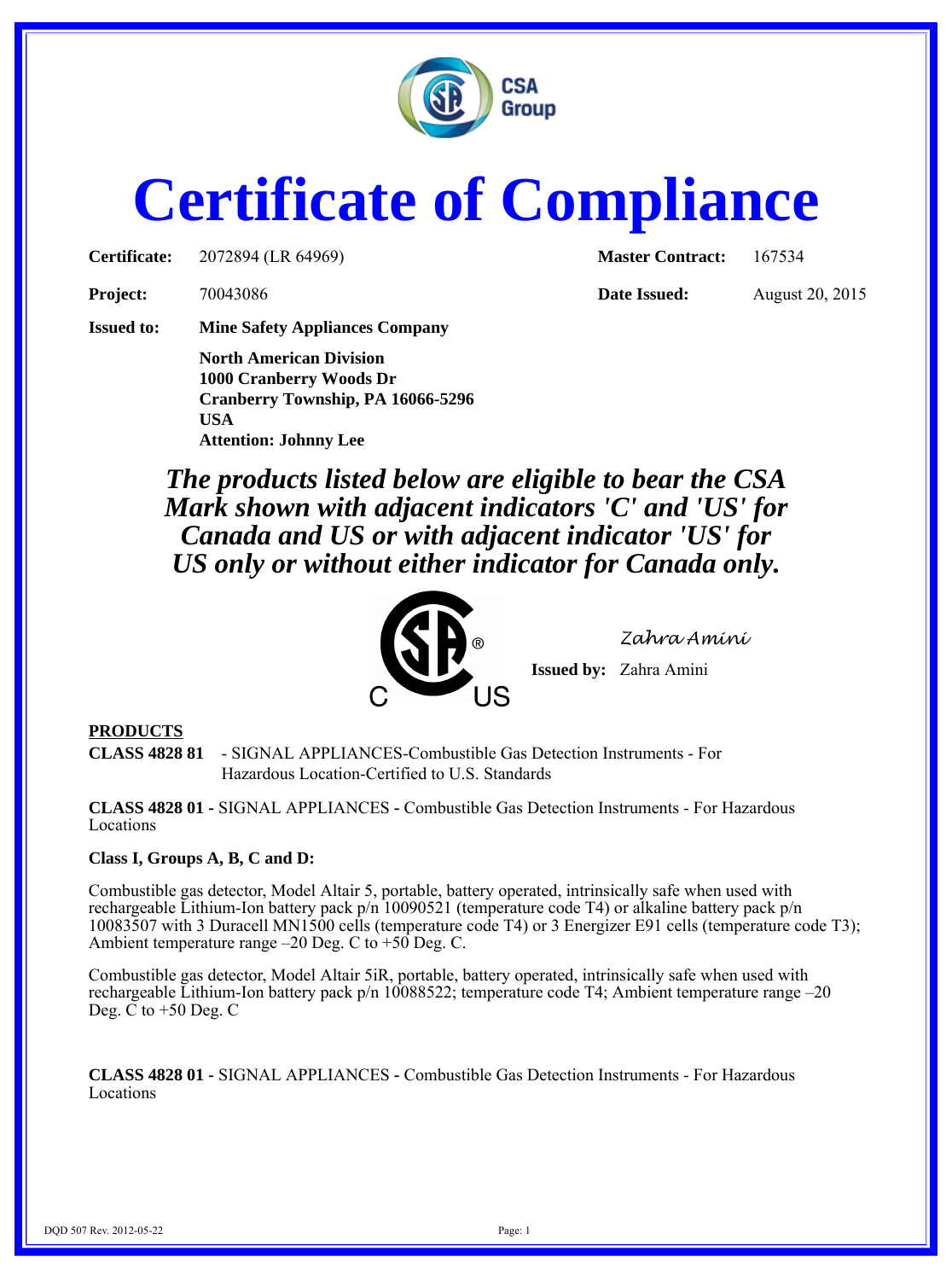

# **Certificate of Compliance**

**Certificate:** 2072894 (LR 64969) **Master Contract:** 167534

**Project:** 70043086 **Date Issued:** August 20, 2015

**Issued to: Mine Safety Appliances Company**

**North American Division 1000 Cranberry Woods Dr Cranberry Township, PA 16066-5296 USA Attention: Johnny Lee**

*The products listed below are eligible to bear the CSA Mark shown with adjacent indicators 'C' and 'US' for Canada and US or with adjacent indicator 'US' for US only or without either indicator for Canada only.*



*Zahra Amini*

**Issued by:** Zahra Amini

# **PRODUCTS**

**CLASS 4828 81** - SIGNAL APPLIANCES-Combustible Gas Detection Instruments - For Hazardous Location-Certified to U.S. Standards

**CLASS 4828 01 -** SIGNAL APPLIANCES **-** Combustible Gas Detection Instruments - For Hazardous Locations

## **Class I, Groups A, B, C and D:**

Combustible gas detector, Model Altair 5, portable, battery operated, intrinsically safe when used with rechargeable Lithium-Ion battery pack p/n 10090521 (temperature code T4) or alkaline battery pack p/n 10083507 with 3 Duracell MN1500 cells (temperature code T4) or 3 Energizer E91 cells (temperature code T3); Ambient temperature range  $-20$  Deg. C to  $+50$  Deg. C.

Combustible gas detector, Model Altair 5iR, portable, battery operated, intrinsically safe when used with rechargeable Lithium-Ion battery pack p/n 10088522; temperature code T4; Ambient temperature range –20 Deg.  $\check{C}$  to +50 Deg. C

**CLASS 4828 01 -** SIGNAL APPLIANCES **-** Combustible Gas Detection Instruments - For Hazardous Locations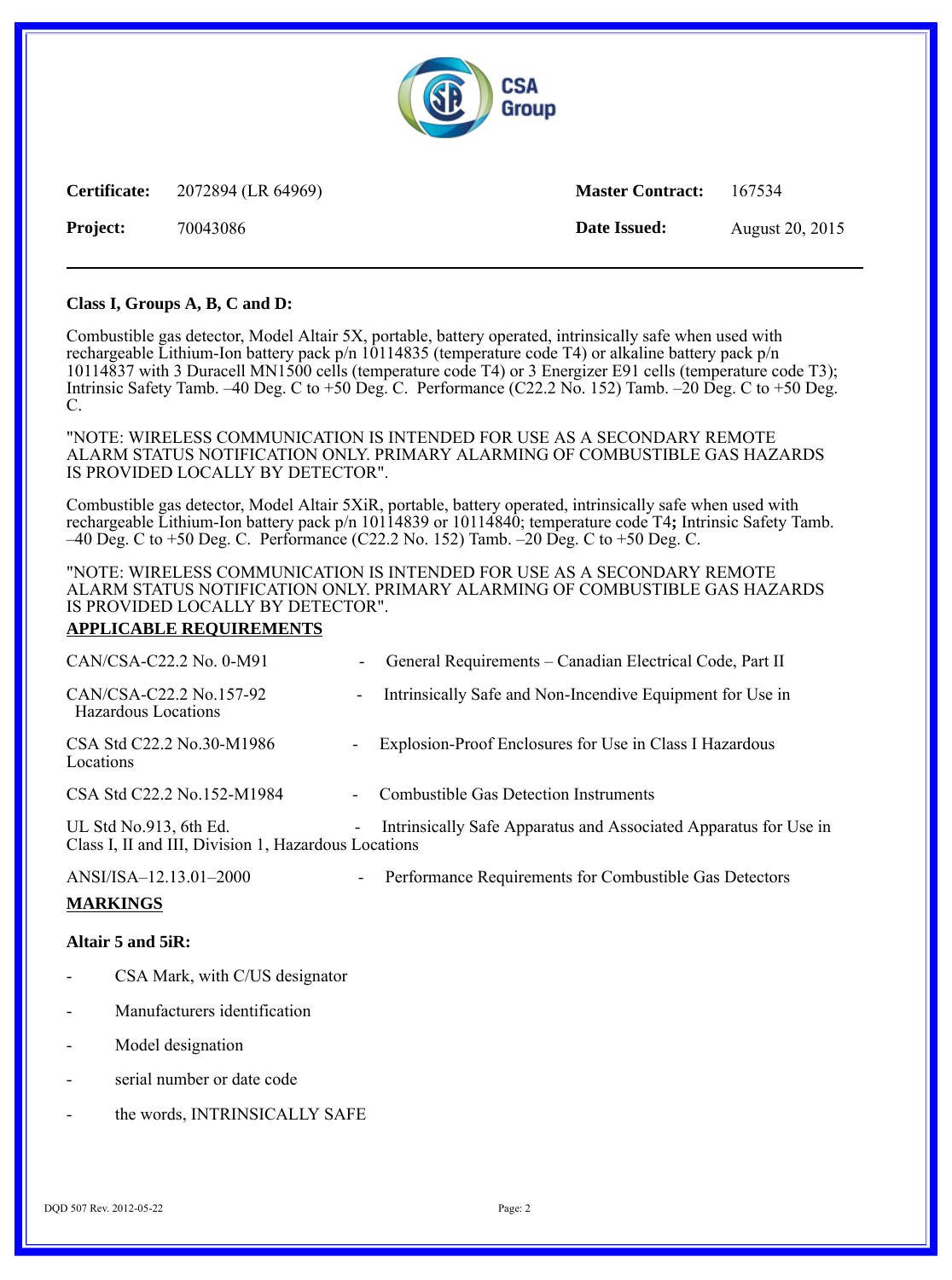

**Certificate:** 2072894 (LR 64969) **Master Contract:** 167534 **Project:** 70043086 **Date Issued:** August 20, 2015

## **Class I, Groups A, B, C and D:**

Combustible gas detector, Model Altair 5X, portable, battery operated, intrinsically safe when used with rechargeable Lithium-Ion battery pack p/n 10114835 (temperature code T4) or alkaline battery pack p/n 10114837 with 3 Duracell MN1500 cells (temperature code T4) or 3 Energizer E91 cells (temperature code T3); Intrinsic Safety Tamb. –40 Deg. C to  $+50$  Deg. C. Performance (C22.2 No. 152) Tamb. –20 Deg. C to  $+50$  Deg. C.

"NOTE: WIRELESS COMMUNICATION IS INTENDED FOR USE AS A SECONDARY REMOTE ALARM STATUS NOTIFICATION ONLY. PRIMARY ALARMING OF COMBUSTIBLE GAS HAZARDS IS PROVIDED LOCALLY BY DETECTOR".

Combustible gas detector, Model Altair 5XiR, portable, battery operated, intrinsically safe when used with rechargeable Lithium-Ion battery pack p/n 10114839 or 10114840; temperature code T4**;** Intrinsic Safety Tamb. –40 Deg. C to +50 Deg. C. Performance (C22.2 No. 152) Tamb. –20 Deg. C to +50 Deg. C.

## "NOTE: WIRELESS COMMUNICATION IS INTENDED FOR USE AS A SECONDARY REMOTE ALARM STATUS NOTIFICATION ONLY. PRIMARY ALARMING OF COMBUSTIBLE GAS HAZARDS IS PROVIDED LOCALLY BY DETECTOR".

## **APPLICABLE REQUIREMENTS**

| CAN/CSA-C22.2 No. 0-M91                                                        |                          | General Requirements - Canadian Electrical Code, Part II         |
|--------------------------------------------------------------------------------|--------------------------|------------------------------------------------------------------|
| CAN/CSA-C22.2 No.157-92<br>Hazardous Locations                                 | $\overline{\phantom{a}}$ | Intrinsically Safe and Non-Incendive Equipment for Use in        |
| CSA Std C22.2 No.30-M1986<br>Locations                                         | $\overline{\phantom{a}}$ | Explosion-Proof Enclosures for Use in Class I Hazardous          |
| CSA Std C22.2 No.152-M1984                                                     |                          | <b>Combustible Gas Detection Instruments</b>                     |
| UL Std No.913, 6th Ed.<br>Class I, II and III, Division 1, Hazardous Locations | ۰                        | Intrinsically Safe Apparatus and Associated Apparatus for Use in |
| ANSI/ISA-12.13.01-2000                                                         | $\overline{\phantom{0}}$ | Performance Requirements for Combustible Gas Detectors           |
| <b>MARKINGS</b>                                                                |                          |                                                                  |
| Altair 5 and 5iR:                                                              |                          |                                                                  |

- CSA Mark, with C/US designator
- Manufacturers identification
- Model designation
- serial number or date code
- the words, INTRINSICALLY SAFE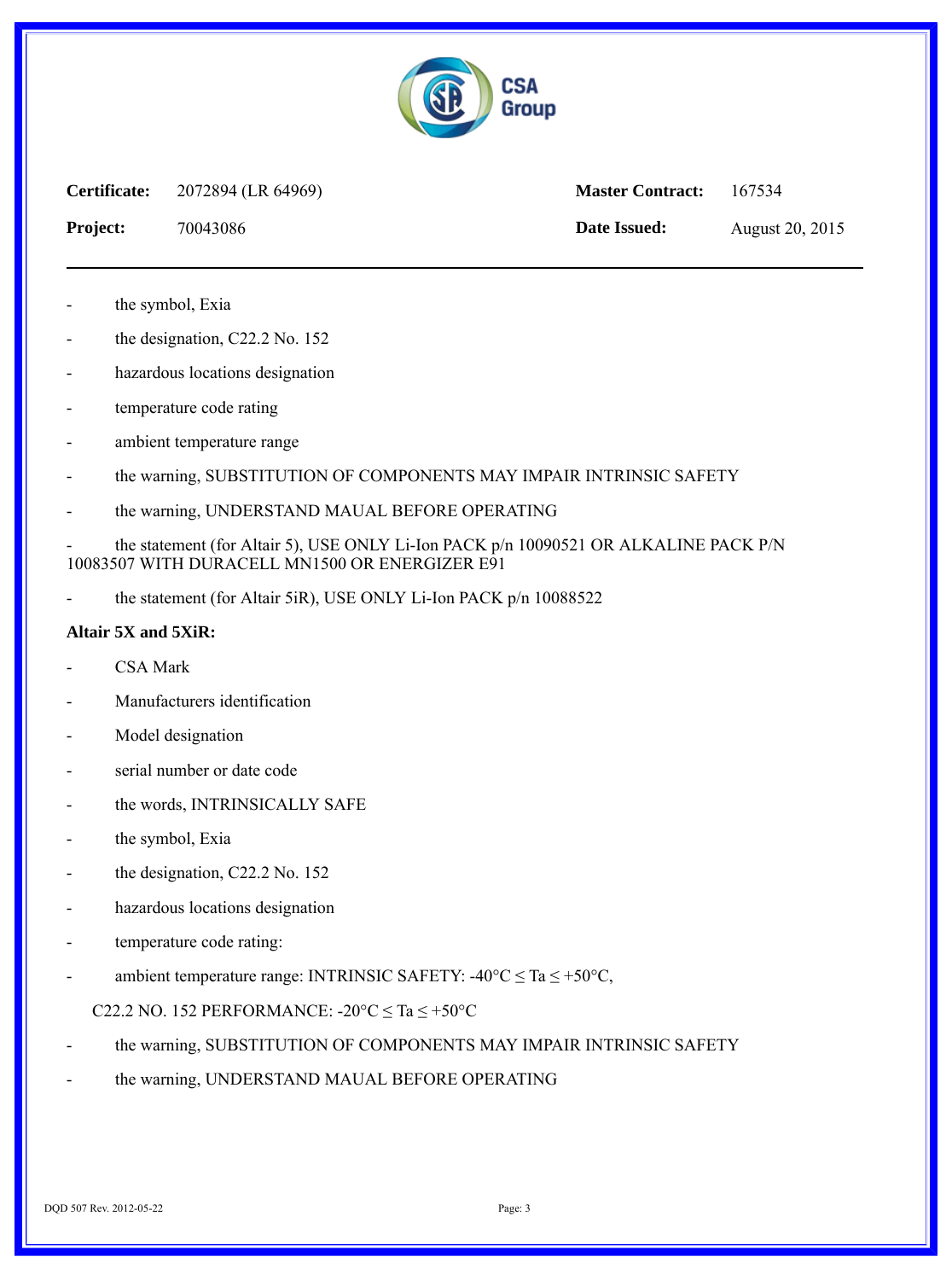

**Certificate:** 2072894 (LR 64969) **Master Contract:** 167534

**Project:** 70043086 **Date Issued:** August 20, 2015

the symbol, Exia

- the designation, C22.2 No. 152
- hazardous locations designation
- temperature code rating
- ambient temperature range
- the warning, SUBSTITUTION OF COMPONENTS MAY IMPAIR INTRINSIC SAFETY
- the warning, UNDERSTAND MAUAL BEFORE OPERATING

the statement (for Altair 5), USE ONLY Li-Ion PACK p/n 10090521 OR ALKALINE PACK P/N 10083507 WITH DURACELL MN1500 OR ENERGIZER E91

the statement (for Altair 5iR), USE ONLY Li-Ion PACK p/n 10088522

## **Altair 5X and 5XiR:**

- CSA Mark
- Manufacturers identification
- Model designation
- serial number or date code
- the words, INTRINSICALLY SAFE
- the symbol, Exia
- the designation, C22.2 No. 152
- hazardous locations designation
- temperature code rating:
- ambient temperature range: INTRINSIC SAFETY: -40°C  $\leq$  Ta  $\leq$  +50°C,

## C22.2 NO. 152 PERFORMANCE:  $-20^{\circ}$ C  $\leq$  Ta  $\leq$  +50°C

- the warning, SUBSTITUTION OF COMPONENTS MAY IMPAIR INTRINSIC SAFETY
- the warning, UNDERSTAND MAUAL BEFORE OPERATING